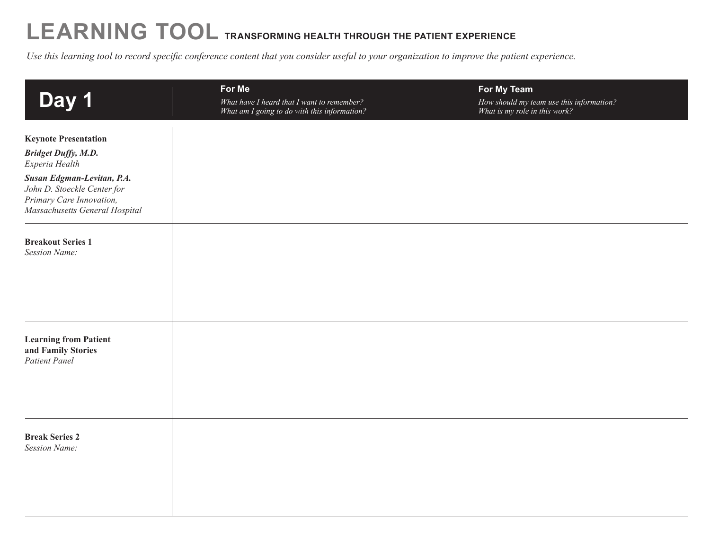## **LEARNING TOOL TRANSFORMING HEALTH THROUGH THE PATIENT Experience**

*Use this learning tool to record specific conference content that you consider useful to your organization to improve the patient experience.* 

| Day 1                                                                                                                                                                                                  | For Me<br>What have I heard that I want to remember?<br>What am I going to do with this information? | For My Team<br>How should my team use this information?<br>What is my role in this work? |
|--------------------------------------------------------------------------------------------------------------------------------------------------------------------------------------------------------|------------------------------------------------------------------------------------------------------|------------------------------------------------------------------------------------------|
| <b>Keynote Presentation</b><br><b>Bridget Duffy, M.D.</b><br>Experia Health<br>Susan Edgman-Levitan, P.A.<br>John D. Stoeckle Center for<br>Primary Care Innovation,<br>Massachusetts General Hospital |                                                                                                      |                                                                                          |
| <b>Breakout Series 1</b><br><b>Session Name:</b>                                                                                                                                                       |                                                                                                      |                                                                                          |
| <b>Learning from Patient</b><br>and Family Stories<br><b>Patient Panel</b>                                                                                                                             |                                                                                                      |                                                                                          |
| <b>Break Series 2</b><br><b>Session Name:</b>                                                                                                                                                          |                                                                                                      |                                                                                          |